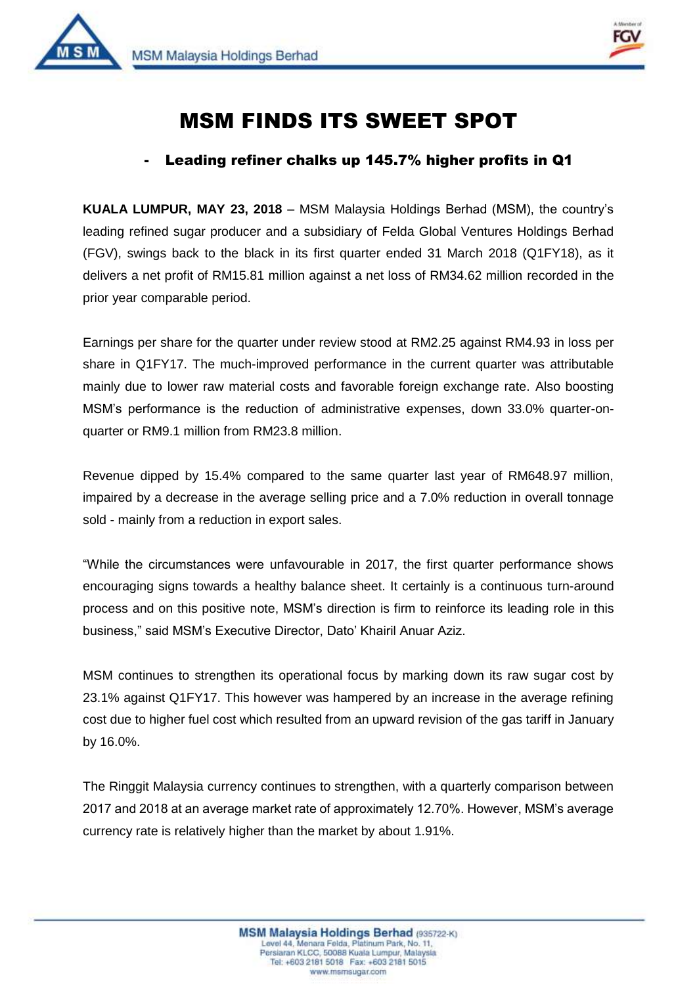



1

## MSM FINDS ITS SWEET SPOT

## - Leading refiner chalks up 145.7% higher profits in Q1

**KUALA LUMPUR, MAY 23, 2018** – MSM Malaysia Holdings Berhad (MSM), the country's leading refined sugar producer and a subsidiary of Felda Global Ventures Holdings Berhad (FGV), swings back to the black in its first quarter ended 31 March 2018 (Q1FY18), as it delivers a net profit of RM15.81 million against a net loss of RM34.62 million recorded in the prior year comparable period.

Earnings per share for the quarter under review stood at RM2.25 against RM4.93 in loss per share in Q1FY17. The much-improved performance in the current quarter was attributable mainly due to lower raw material costs and favorable foreign exchange rate. Also boosting MSM's performance is the reduction of administrative expenses, down 33.0% quarter-onquarter or RM9.1 million from RM23.8 million.

Revenue dipped by 15.4% compared to the same quarter last year of RM648.97 million, impaired by a decrease in the average selling price and a 7.0% reduction in overall tonnage sold - mainly from a reduction in export sales.

"While the circumstances were unfavourable in 2017, the first quarter performance shows encouraging signs towards a healthy balance sheet. It certainly is a continuous turn-around process and on this positive note, MSM's direction is firm to reinforce its leading role in this business," said MSM's Executive Director, Dato' Khairil Anuar Aziz.

MSM continues to strengthen its operational focus by marking down its raw sugar cost by 23.1% against Q1FY17. This however was hampered by an increase in the average refining cost due to higher fuel cost which resulted from an upward revision of the gas tariff in January by 16.0%.

The Ringgit Malaysia currency continues to strengthen, with a quarterly comparison between 2017 and 2018 at an average market rate of approximately 12.70%. However, MSM's average currency rate is relatively higher than the market by about 1.91%.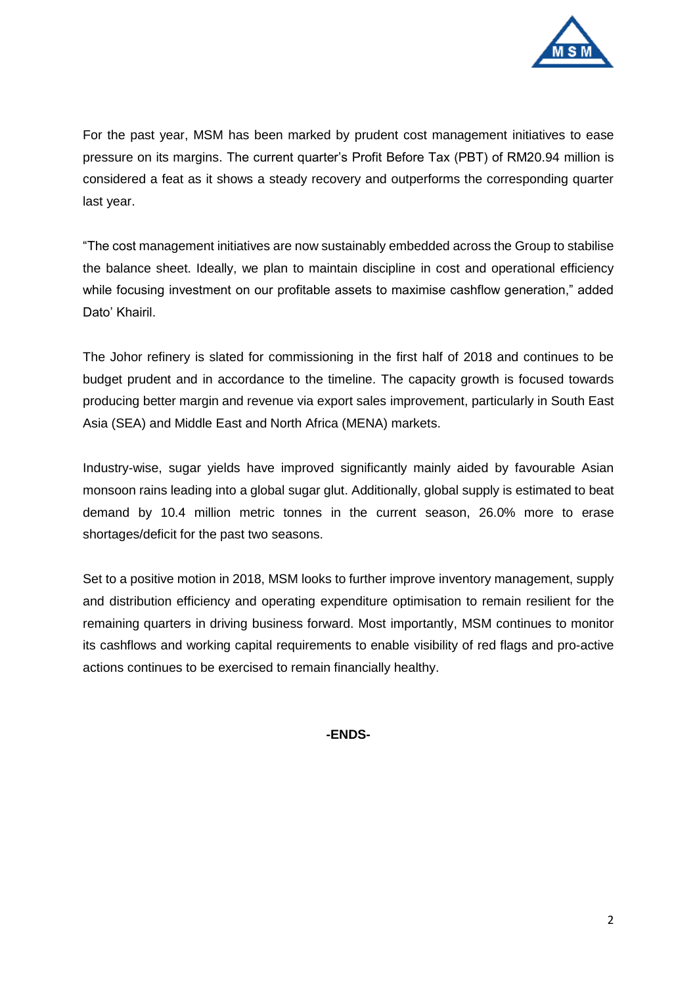

For the past year, MSM has been marked by prudent cost management initiatives to ease pressure on its margins. The current quarter's Profit Before Tax (PBT) of RM20.94 million is considered a feat as it shows a steady recovery and outperforms the corresponding quarter last year.

"The cost management initiatives are now sustainably embedded across the Group to stabilise the balance sheet. Ideally, we plan to maintain discipline in cost and operational efficiency while focusing investment on our profitable assets to maximise cashflow generation," added Dato' Khairil.

The Johor refinery is slated for commissioning in the first half of 2018 and continues to be budget prudent and in accordance to the timeline. The capacity growth is focused towards producing better margin and revenue via export sales improvement, particularly in South East Asia (SEA) and Middle East and North Africa (MENA) markets.

Industry-wise, sugar yields have improved significantly mainly aided by favourable Asian monsoon rains leading into a global sugar glut. Additionally, global supply is estimated to beat demand by 10.4 million metric tonnes in the current season, 26.0% more to erase shortages/deficit for the past two seasons.

Set to a positive motion in 2018, MSM looks to further improve inventory management, supply and distribution efficiency and operating expenditure optimisation to remain resilient for the remaining quarters in driving business forward. Most importantly, MSM continues to monitor its cashflows and working capital requirements to enable visibility of red flags and pro-active actions continues to be exercised to remain financially healthy.

## **-ENDS-**